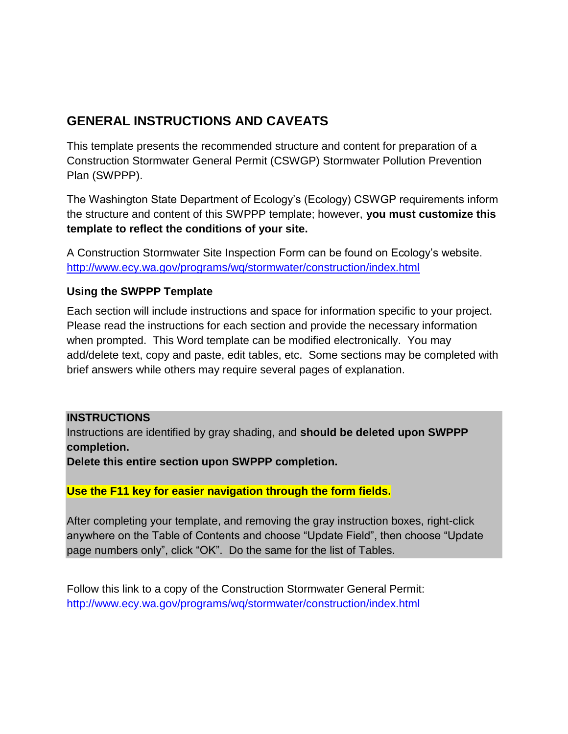# **GENERAL INSTRUCTIONS AND CAVEATS**

This template presents the recommended structure and content for preparation of a Construction Stormwater General Permit (CSWGP) Stormwater Pollution Prevention Plan (SWPPP).

The Washington State Department of Ecology's (Ecology) CSWGP requirements inform the structure and content of this SWPPP template; however, **you must customize this template to reflect the conditions of your site.** 

A Construction Stormwater Site Inspection Form can be found on Ecology's website. <http://www.ecy.wa.gov/programs/wq/stormwater/construction/index.html>

## **Using the SWPPP Template**

Each section will include instructions and space for information specific to your project. Please read the instructions for each section and provide the necessary information when prompted. This Word template can be modified electronically. You may add/delete text, copy and paste, edit tables, etc. Some sections may be completed with brief answers while others may require several pages of explanation.

## **INSTRUCTIONS**

Instructions are identified by gray shading, and **should be deleted upon SWPPP completion.**

**Delete this entire section upon SWPPP completion.** 

**Use the F11 key for easier navigation through the form fields.**

After completing your template, and removing the gray instruction boxes, right-click anywhere on the Table of Contents and choose "Update Field", then choose "Update page numbers only", click "OK". Do the same for the list of Tables.

Follow this link to a copy of the Construction Stormwater General Permit: <http://www.ecy.wa.gov/programs/wq/stormwater/construction/index.html>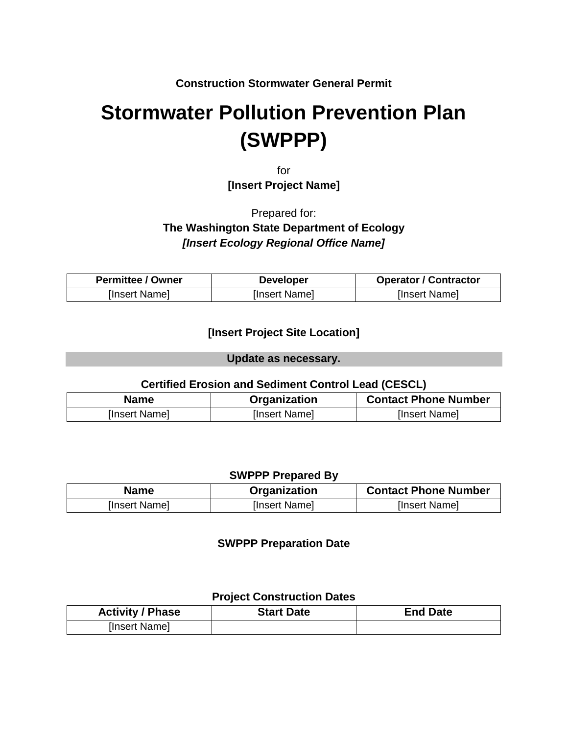**Construction Stormwater General Permit**

# **Stormwater Pollution Prevention Plan (SWPPP)**

for **[Insert Project Name]**

Prepared for:

# **The Washington State Department of Ecology** *[Insert Ecology Regional Office Name]*

| <b>Permittee / Owner</b> | <b>Developer</b> | <b>Operator / Contractor</b> |
|--------------------------|------------------|------------------------------|
| [Insert Name]            | [Insert Name]    | [Insert Name]                |

## **[Insert Project Site Location]**

**Update as necessary.**

## **Certified Erosion and Sediment Control Lead (CESCL)**

| <b>Name</b>   | Organization  | <b>Contact Phone Number</b> |
|---------------|---------------|-----------------------------|
| [Insert Name] | [Insert Name] | [Insert Name]               |

#### **SWPPP Prepared By**

| <b>Name</b>   | Organization  | <b>Contact Phone Number</b> |
|---------------|---------------|-----------------------------|
| [Insert Name] | [Insert Name] | [Insert Name]               |

#### **SWPPP Preparation Date**

#### **Project Construction Dates**

| <b>Activity / Phase</b> | <b>Start Date</b> | <b>End Date</b> |
|-------------------------|-------------------|-----------------|
| [Insert Name]           |                   |                 |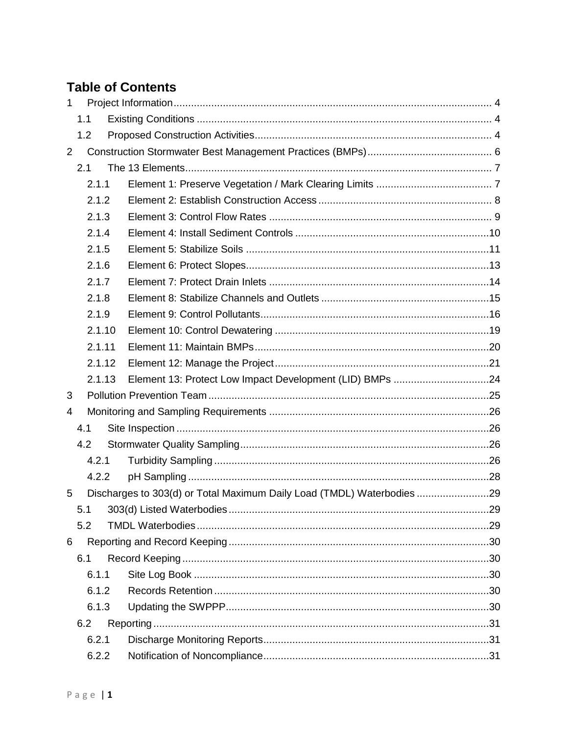# **Table of Contents**

| $\mathbf{1}$   |     |        |                                                                        |  |
|----------------|-----|--------|------------------------------------------------------------------------|--|
|                | 1.1 |        |                                                                        |  |
|                | 1.2 |        |                                                                        |  |
| $\overline{2}$ |     |        |                                                                        |  |
|                | 2.1 |        |                                                                        |  |
|                |     | 2.1.1  |                                                                        |  |
|                |     | 2.1.2  |                                                                        |  |
|                |     | 2.1.3  |                                                                        |  |
|                |     | 2.1.4  |                                                                        |  |
|                |     | 2.1.5  |                                                                        |  |
|                |     | 2.1.6  |                                                                        |  |
|                |     | 2.1.7  |                                                                        |  |
|                |     | 2.1.8  |                                                                        |  |
|                |     | 2.1.9  |                                                                        |  |
|                |     | 2.1.10 |                                                                        |  |
|                |     | 2.1.11 |                                                                        |  |
|                |     | 2.1.12 |                                                                        |  |
|                |     | 2.1.13 | Element 13: Protect Low Impact Development (LID) BMPs 24               |  |
| 3              |     |        |                                                                        |  |
| 4              |     |        |                                                                        |  |
|                | 4.1 |        |                                                                        |  |
|                | 4.2 |        |                                                                        |  |
|                |     | 4.2.1  |                                                                        |  |
|                |     | 4.2.2  |                                                                        |  |
| 5              |     |        | Discharges to 303(d) or Total Maximum Daily Load (TMDL) Waterbodies 29 |  |
|                |     |        |                                                                        |  |
|                | 5.2 |        |                                                                        |  |
| 6              |     |        |                                                                        |  |
|                | 6.1 |        |                                                                        |  |
|                |     | 6.1.1  |                                                                        |  |
|                |     | 6.1.2  |                                                                        |  |
|                |     | 6.1.3  |                                                                        |  |
|                | 6.2 |        |                                                                        |  |
|                |     | 6.2.1  |                                                                        |  |
|                |     | 6.2.2  |                                                                        |  |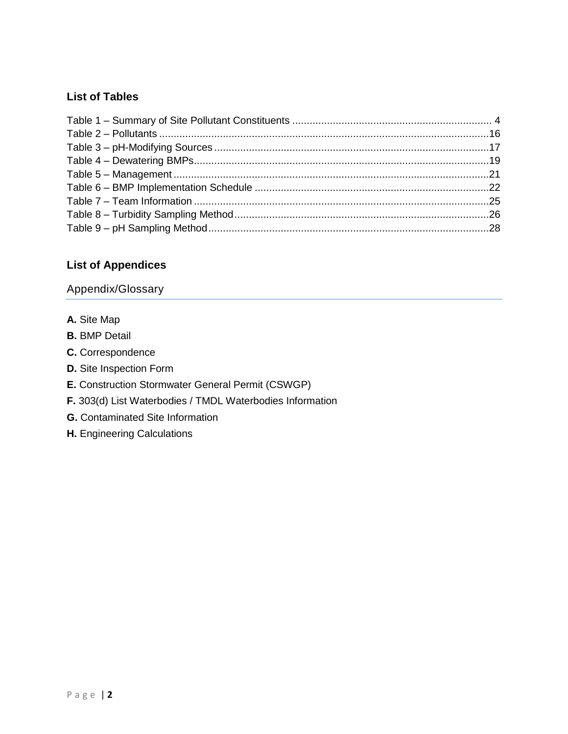### **List of Tables**

### **List of Appendices**

### [Appendix/Glossary](#page-34-0)

- **A.** [Site Map](#page-34-1)
- **B.** [BMP Detail](#page-34-2)
- **C.** [Correspondence](#page-34-3)
- **D.** [Site Inspection Form](#page-34-4)
- **E.** [Construction Stormwater General Permit \(CSWGP\)](#page-34-5)
- **F.** [303\(d\) List Waterbodies / TMDL Waterbodies Information](#page-34-6)
- **G.** [Contaminated Site Information](#page-34-7)
- **H.** [Engineering Calculations](#page-34-8)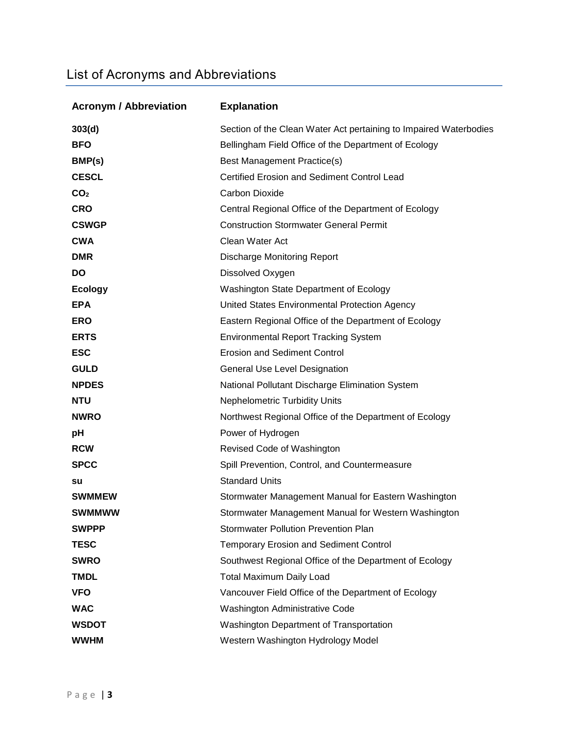# List of Acronyms and Abbreviations

| <b>Acronym / Abbreviation</b> | <b>Explanation</b>                                                |  |
|-------------------------------|-------------------------------------------------------------------|--|
| 303(d)                        | Section of the Clean Water Act pertaining to Impaired Waterbodies |  |
| <b>BFO</b>                    | Bellingham Field Office of the Department of Ecology              |  |
| BMP(s)                        | Best Management Practice(s)                                       |  |
| <b>CESCL</b>                  | <b>Certified Erosion and Sediment Control Lead</b>                |  |
| CO <sub>2</sub>               | Carbon Dioxide                                                    |  |
| <b>CRO</b>                    | Central Regional Office of the Department of Ecology              |  |
| <b>CSWGP</b>                  | <b>Construction Stormwater General Permit</b>                     |  |
| <b>CWA</b>                    | Clean Water Act                                                   |  |
| <b>DMR</b>                    | <b>Discharge Monitoring Report</b>                                |  |
| <b>DO</b>                     | Dissolved Oxygen                                                  |  |
| <b>Ecology</b>                | Washington State Department of Ecology                            |  |
| <b>EPA</b>                    | United States Environmental Protection Agency                     |  |
| <b>ERO</b>                    | Eastern Regional Office of the Department of Ecology              |  |
| <b>ERTS</b>                   | <b>Environmental Report Tracking System</b>                       |  |
| <b>ESC</b>                    | <b>Erosion and Sediment Control</b>                               |  |
| <b>GULD</b>                   | <b>General Use Level Designation</b>                              |  |
| <b>NPDES</b>                  | National Pollutant Discharge Elimination System                   |  |
| <b>NTU</b>                    | <b>Nephelometric Turbidity Units</b>                              |  |
| <b>NWRO</b>                   | Northwest Regional Office of the Department of Ecology            |  |
| pH                            | Power of Hydrogen                                                 |  |
| <b>RCW</b>                    | Revised Code of Washington                                        |  |
| <b>SPCC</b>                   | Spill Prevention, Control, and Countermeasure                     |  |
| su                            | <b>Standard Units</b>                                             |  |
| <b>SWMMEW</b>                 | Stormwater Management Manual for Eastern Washington               |  |
| SWMMWW                        | Stormwater Management Manual for Western Washington               |  |
| <b>SWPPP</b>                  | <b>Stormwater Pollution Prevention Plan</b>                       |  |
| <b>TESC</b>                   | <b>Temporary Erosion and Sediment Control</b>                     |  |
| <b>SWRO</b>                   | Southwest Regional Office of the Department of Ecology            |  |
| <b>TMDL</b>                   | <b>Total Maximum Daily Load</b>                                   |  |
| <b>VFO</b>                    | Vancouver Field Office of the Department of Ecology               |  |
| <b>WAC</b>                    | Washington Administrative Code                                    |  |
| <b>WSDOT</b>                  | Washington Department of Transportation                           |  |
| <b>WWHM</b>                   | Western Washington Hydrology Model                                |  |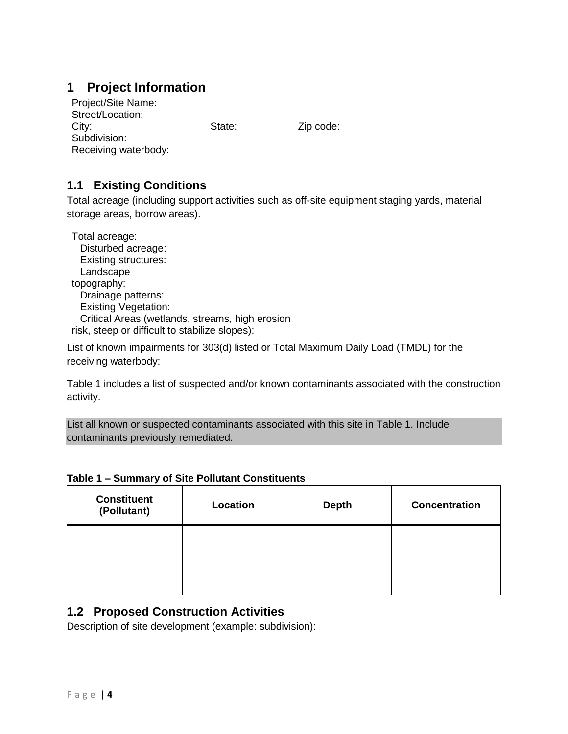# <span id="page-5-0"></span>**1 Project Information**

| Project/Site Name:   |        |
|----------------------|--------|
| Street/Location:     |        |
| City:                | State: |
| Subdivision:         |        |
| Receiving waterbody: |        |

Zip code:

# <span id="page-5-1"></span>**1.1 Existing Conditions**

Total acreage (including support activities such as off-site equipment staging yards, material storage areas, borrow areas).

| Total acreage:                                  |
|-------------------------------------------------|
| Disturbed acreage:                              |
| <b>Existing structures:</b>                     |
| Landscape                                       |
| topography:                                     |
| Drainage patterns:                              |
| <b>Existing Vegetation:</b>                     |
| Critical Areas (wetlands, streams, high erosion |
| risk, steep or difficult to stabilize slopes):  |

List of known impairments for 303(d) listed or Total Maximum Daily Load (TMDL) for the receiving waterbody:

Table 1 includes a list of suspected and/or known contaminants associated with the construction activity.

List all known or suspected contaminants associated with this site in Table 1. Include contaminants previously remediated.

#### <span id="page-5-3"></span>**Table 1 – Summary of Site Pollutant Constituents**

| <b>Constituent</b><br>(Pollutant) | Location | <b>Depth</b> | <b>Concentration</b> |
|-----------------------------------|----------|--------------|----------------------|
|                                   |          |              |                      |
|                                   |          |              |                      |
|                                   |          |              |                      |
|                                   |          |              |                      |
|                                   |          |              |                      |

## <span id="page-5-2"></span>**1.2 Proposed Construction Activities**

Description of site development (example: subdivision):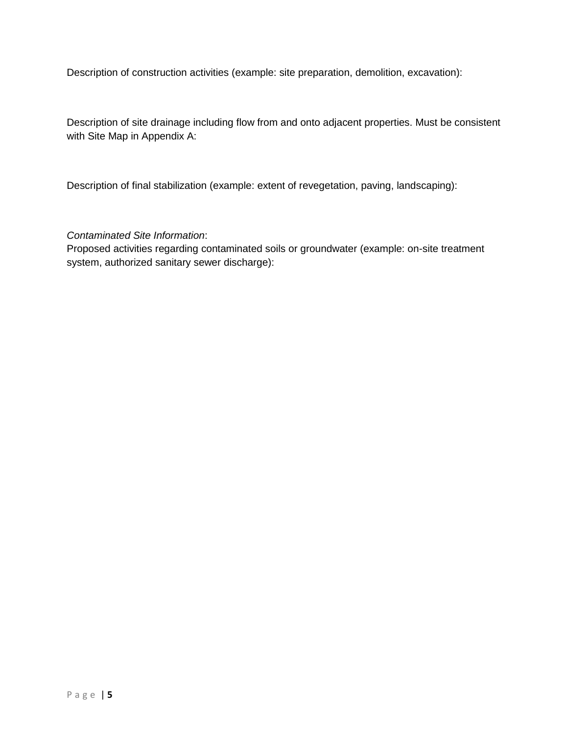Description of construction activities (example: site preparation, demolition, excavation):

Description of site drainage including flow from and onto adjacent properties. Must be consistent with Site Map in Appendix A:

Description of final stabilization (example: extent of revegetation, paving, landscaping):

#### *Contaminated Site Information*:

Proposed activities regarding contaminated soils or groundwater (example: on-site treatment system, authorized sanitary sewer discharge):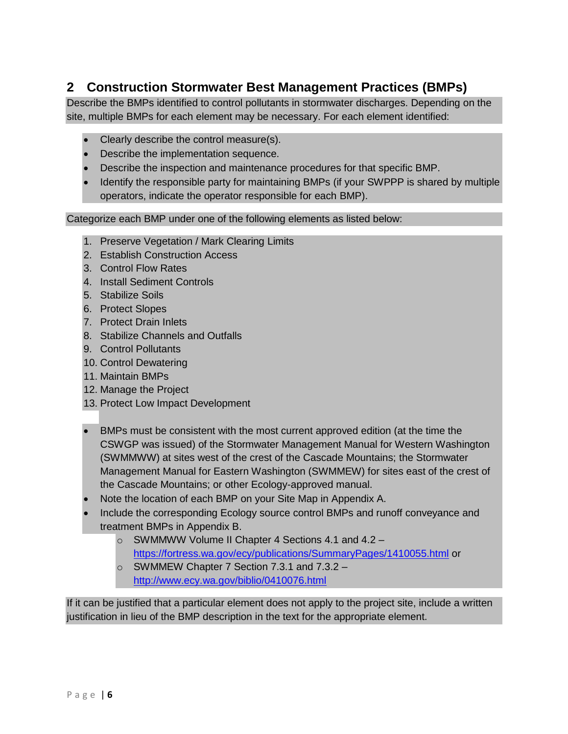# <span id="page-7-0"></span>**2 Construction Stormwater Best Management Practices (BMPs)**

Describe the BMPs identified to control pollutants in stormwater discharges. Depending on the site, multiple BMPs for each element may be necessary. For each element identified:

- Clearly describe the control measure(s).
- Describe the implementation sequence.
- Describe the inspection and maintenance procedures for that specific BMP.
- Identify the responsible party for maintaining BMPs (if your SWPPP is shared by multiple operators, indicate the operator responsible for each BMP).

Categorize each BMP under one of the following elements as listed below:

- 1. Preserve Vegetation / Mark Clearing Limits
- 2. Establish Construction Access
- 3. Control Flow Rates
- 4. Install Sediment Controls
- 5. Stabilize Soils
- 6. Protect Slopes
- 7. Protect Drain Inlets
- 8. Stabilize Channels and Outfalls
- 9. Control Pollutants
- 10. Control Dewatering
- 11. Maintain BMPs
- 12. Manage the Project
- 13. Protect Low Impact Development
- BMPs must be consistent with the most current approved edition (at the time the CSWGP was issued) of the Stormwater Management Manual for Western Washington (SWMMWW) at sites west of the crest of the Cascade Mountains; the Stormwater Management Manual for Eastern Washington (SWMMEW) for sites east of the crest of the Cascade Mountains; or other Ecology-approved manual.
- Note the location of each BMP on your Site Map in Appendix A.
- Include the corresponding Ecology source control BMPs and runoff conveyance and treatment BMPs in Appendix B.
	- o SWMMWW Volume II Chapter 4 Sections 4.1 and 4.2 <https://fortress.wa.gov/ecy/publications/SummaryPages/1410055.html> or
	- o SWMMEW Chapter 7 Section 7.3.1 and 7.3.2 <http://www.ecy.wa.gov/biblio/0410076.html>

If it can be justified that a particular element does not apply to the project site, include a written justification in lieu of the BMP description in the text for the appropriate element.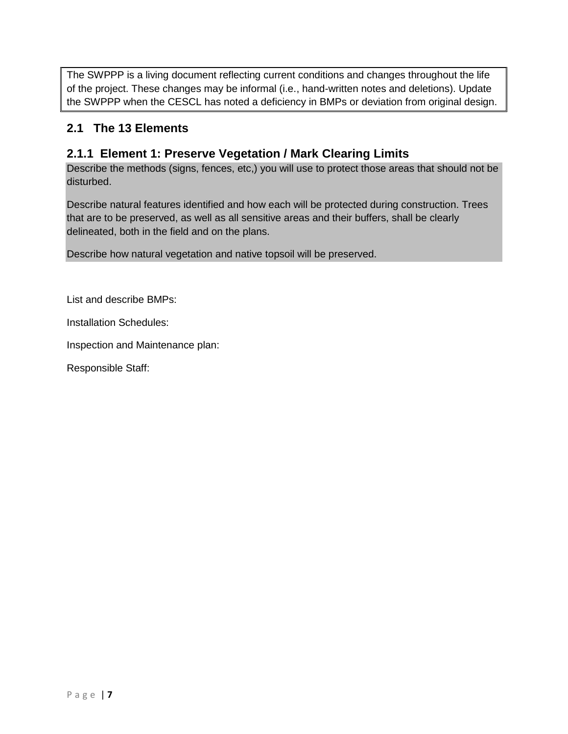The SWPPP is a living document reflecting current conditions and changes throughout the life of the project. These changes may be informal (i.e., hand-written notes and deletions). Update the SWPPP when the CESCL has noted a deficiency in BMPs or deviation from original design.

# <span id="page-8-0"></span>**2.1 The 13 Elements**

## <span id="page-8-1"></span>**2.1.1 Element 1: Preserve Vegetation / Mark Clearing Limits**

Describe the methods (signs, fences, etc,) you will use to protect those areas that should not be disturbed.

Describe natural features identified and how each will be protected during construction. Trees that are to be preserved, as well as all sensitive areas and their buffers, shall be clearly delineated, both in the field and on the plans.

Describe how natural vegetation and native topsoil will be preserved.

List and describe BMPs:

Installation Schedules:

Inspection and Maintenance plan: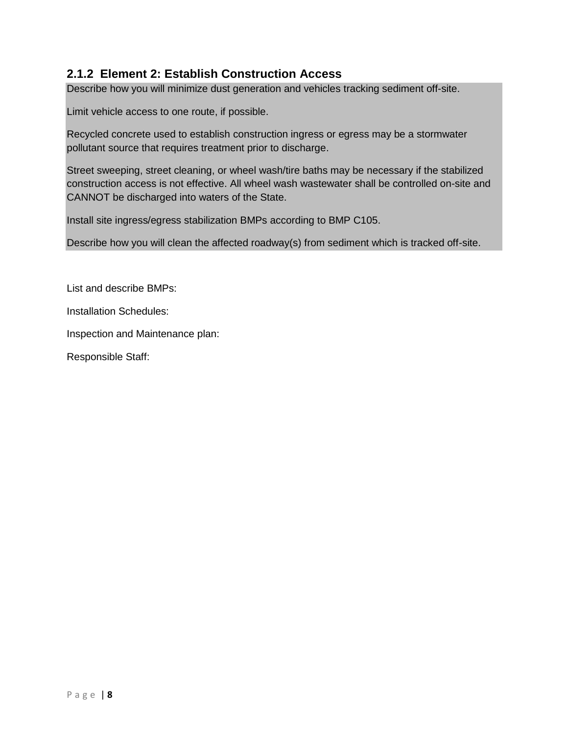# <span id="page-9-0"></span>**2.1.2 Element 2: Establish Construction Access**

Describe how you will minimize dust generation and vehicles tracking sediment off-site.

Limit vehicle access to one route, if possible.

Recycled concrete used to establish construction ingress or egress may be a stormwater pollutant source that requires treatment prior to discharge.

Street sweeping, street cleaning, or wheel wash/tire baths may be necessary if the stabilized construction access is not effective. All wheel wash wastewater shall be controlled on-site and CANNOT be discharged into waters of the State.

Install site ingress/egress stabilization BMPs according to BMP C105.

Describe how you will clean the affected roadway(s) from sediment which is tracked off-site.

List and describe BMPs:

Installation Schedules:

Inspection and Maintenance plan: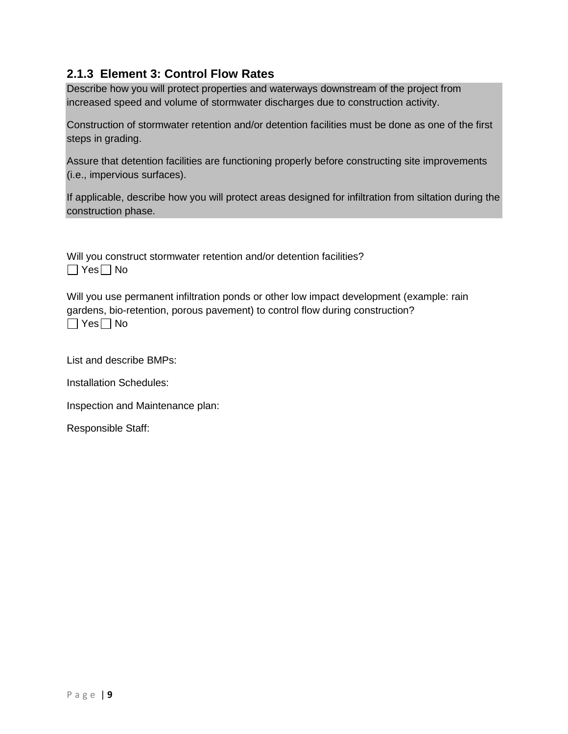# <span id="page-10-0"></span>**2.1.3 Element 3: Control Flow Rates**

Describe how you will protect properties and waterways downstream of the project from increased speed and volume of stormwater discharges due to construction activity.

Construction of stormwater retention and/or detention facilities must be done as one of the first steps in grading.

Assure that detention facilities are functioning properly before constructing site improvements (i.e., impervious surfaces).

If applicable, describe how you will protect areas designed for infiltration from siltation during the construction phase.

Will you construct stormwater retention and/or detention facilities?  $\Box$  Yes  $\Box$  No

Will you use permanent infiltration ponds or other low impact development (example: rain gardens, bio-retention, porous pavement) to control flow during construction?  $\Box$  Yes  $\Box$  No

List and describe BMPs:

Installation Schedules:

Inspection and Maintenance plan: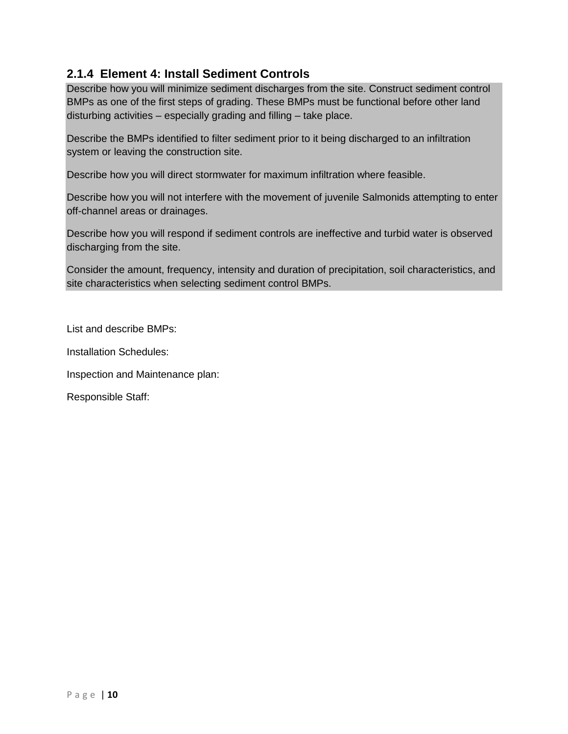# <span id="page-11-0"></span>**2.1.4 Element 4: Install Sediment Controls**

Describe how you will minimize sediment discharges from the site. Construct sediment control BMPs as one of the first steps of grading. These BMPs must be functional before other land disturbing activities – especially grading and filling – take place.

Describe the BMPs identified to filter sediment prior to it being discharged to an infiltration system or leaving the construction site.

Describe how you will direct stormwater for maximum infiltration where feasible.

Describe how you will not interfere with the movement of juvenile Salmonids attempting to enter off-channel areas or drainages.

Describe how you will respond if sediment controls are ineffective and turbid water is observed discharging from the site.

Consider the amount, frequency, intensity and duration of precipitation, soil characteristics, and site characteristics when selecting sediment control BMPs.

List and describe BMPs:

Installation Schedules:

Inspection and Maintenance plan: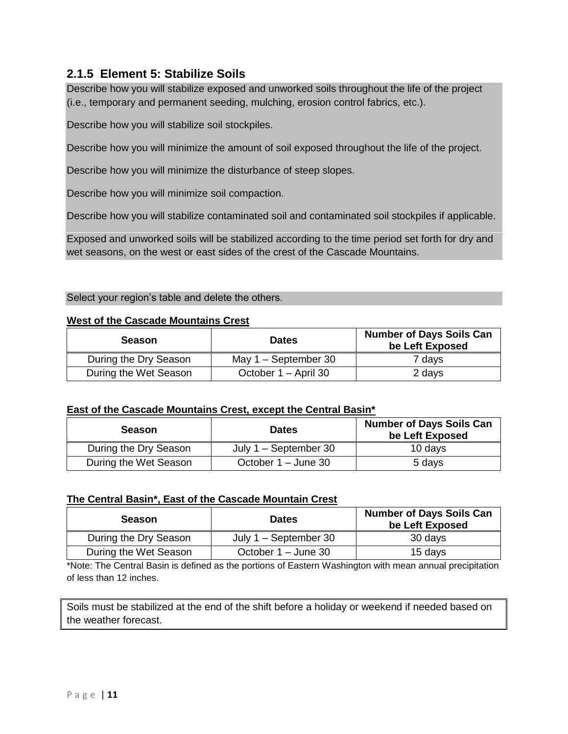# <span id="page-12-0"></span>**2.1.5 Element 5: Stabilize Soils**

Describe how you will stabilize exposed and unworked soils throughout the life of the project (i.e., temporary and permanent seeding, mulching, erosion control fabrics, etc.).

Describe how you will stabilize soil stockpiles.

Describe how you will minimize the amount of soil exposed throughout the life of the project.

Describe how you will minimize the disturbance of steep slopes.

Describe how you will minimize soil compaction.

Describe how you will stabilize contaminated soil and contaminated soil stockpiles if applicable.

Exposed and unworked soils will be stabilized according to the time period set forth for dry and wet seasons, on the west or east sides of the crest of the Cascade Mountains.

#### Select your region's table and delete the others.

#### **West of the Cascade Mountains Crest**

| <b>Season</b>         | <b>Dates</b>           | <b>Number of Days Soils Can</b><br>be Left Exposed |
|-----------------------|------------------------|----------------------------------------------------|
| During the Dry Season | May $1 -$ September 30 | 7 days                                             |
| During the Wet Season | October 1 – April 30   | 2 days                                             |

#### **East of the Cascade Mountains Crest, except the Central Basin\***

| <b>Season</b>         | <b>Dates</b>            | <b>Number of Days Soils Can</b><br>be Left Exposed |
|-----------------------|-------------------------|----------------------------------------------------|
| During the Dry Season | July $1 -$ September 30 | 10 days                                            |
| During the Wet Season | October 1 – June 30     | 5 days                                             |

#### **The Central Basin\*, East of the Cascade Mountain Crest**

| <b>Season</b>         | <b>Dates</b>            | <b>Number of Days Soils Can</b><br>be Left Exposed |
|-----------------------|-------------------------|----------------------------------------------------|
| During the Dry Season | July $1 -$ September 30 | 30 days                                            |
| During the Wet Season | October 1 – June 30     | 15 days                                            |

\*Note: The Central Basin is defined as the portions of Eastern Washington with mean annual precipitation of less than 12 inches.

Soils must be stabilized at the end of the shift before a holiday or weekend if needed based on the weather forecast.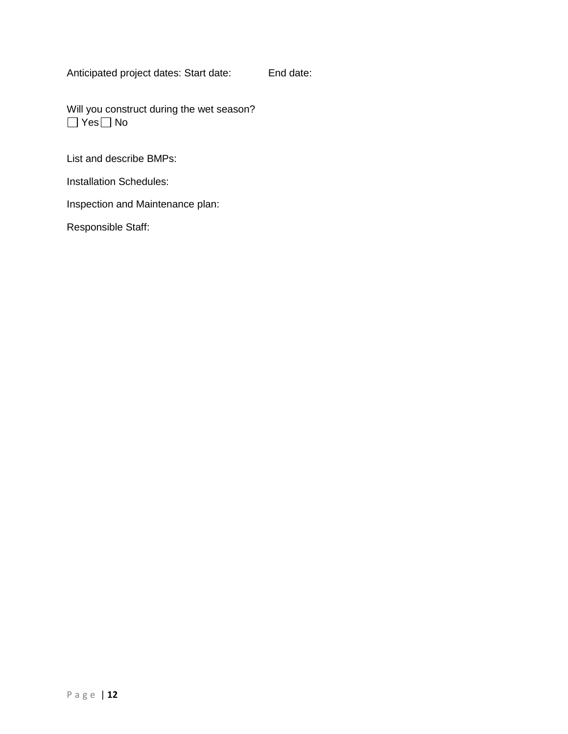Anticipated project dates: Start date: End date:

Will you construct during the wet season?  $\Box$  Yes  $\Box$  No

List and describe BMPs:

Installation Schedules:

Inspection and Maintenance plan: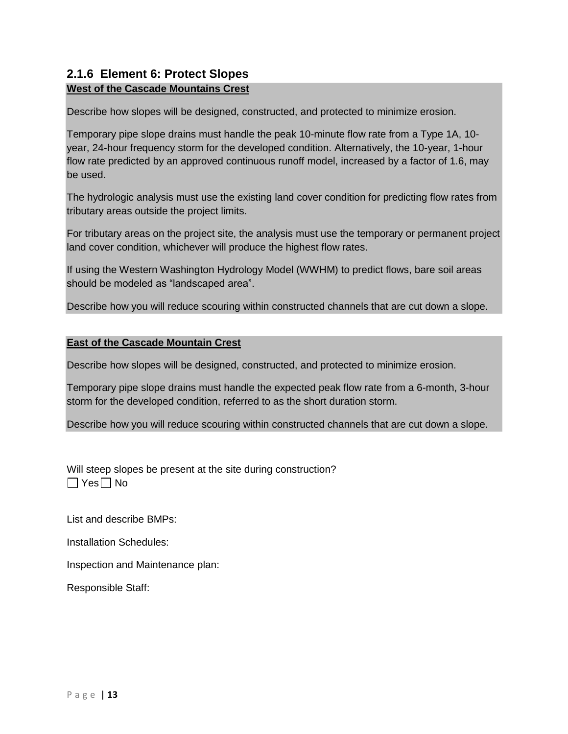# <span id="page-14-0"></span>**2.1.6 Element 6: Protect Slopes**

#### **West of the Cascade Mountains Crest**

Describe how slopes will be designed, constructed, and protected to minimize erosion.

Temporary pipe slope drains must handle the peak 10-minute flow rate from a Type 1A, 10 year, 24-hour frequency storm for the developed condition. Alternatively, the 10-year, 1-hour flow rate predicted by an approved continuous runoff model, increased by a factor of 1.6, may be used.

The hydrologic analysis must use the existing land cover condition for predicting flow rates from tributary areas outside the project limits.

For tributary areas on the project site, the analysis must use the temporary or permanent project land cover condition, whichever will produce the highest flow rates.

If using the Western Washington Hydrology Model (WWHM) to predict flows, bare soil areas should be modeled as "landscaped area".

Describe how you will reduce scouring within constructed channels that are cut down a slope.

#### **East of the Cascade Mountain Crest**

Describe how slopes will be designed, constructed, and protected to minimize erosion.

Temporary pipe slope drains must handle the expected peak flow rate from a 6-month, 3-hour storm for the developed condition, referred to as the short duration storm.

Describe how you will reduce scouring within constructed channels that are cut down a slope.

Will steep slopes be present at the site during construction?  $\Box$  Yes  $\Box$  No

List and describe BMPs:

Installation Schedules:

Inspection and Maintenance plan: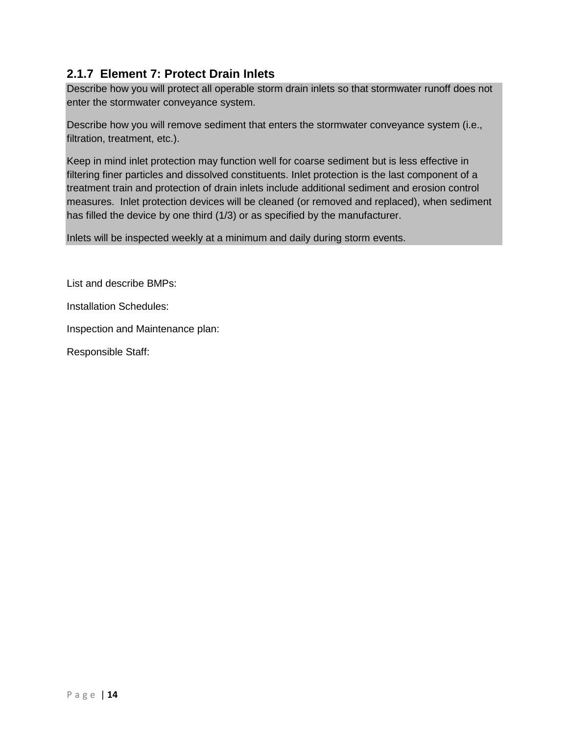# <span id="page-15-0"></span>**2.1.7 Element 7: Protect Drain Inlets**

Describe how you will protect all operable storm drain inlets so that stormwater runoff does not enter the stormwater conveyance system.

Describe how you will remove sediment that enters the stormwater conveyance system (i.e., filtration, treatment, etc.).

Keep in mind inlet protection may function well for coarse sediment but is less effective in filtering finer particles and dissolved constituents. Inlet protection is the last component of a treatment train and protection of drain inlets include additional sediment and erosion control measures. Inlet protection devices will be cleaned (or removed and replaced), when sediment has filled the device by one third (1/3) or as specified by the manufacturer.

Inlets will be inspected weekly at a minimum and daily during storm events.

List and describe BMPs:

Installation Schedules:

Inspection and Maintenance plan: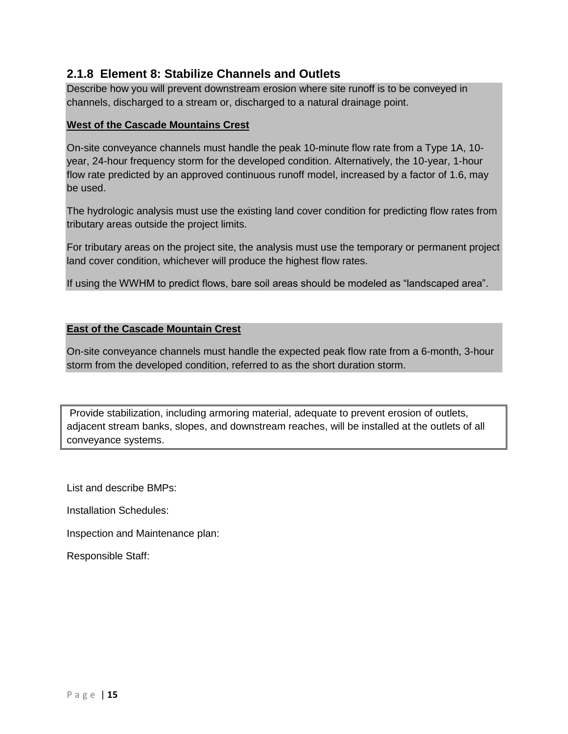## <span id="page-16-0"></span>**2.1.8 Element 8: Stabilize Channels and Outlets**

Describe how you will prevent downstream erosion where site runoff is to be conveyed in channels, discharged to a stream or, discharged to a natural drainage point.

#### **West of the Cascade Mountains Crest**

On-site conveyance channels must handle the peak 10-minute flow rate from a Type 1A, 10 year, 24-hour frequency storm for the developed condition. Alternatively, the 10-year, 1-hour flow rate predicted by an approved continuous runoff model, increased by a factor of 1.6, may be used.

The hydrologic analysis must use the existing land cover condition for predicting flow rates from tributary areas outside the project limits.

For tributary areas on the project site, the analysis must use the temporary or permanent project land cover condition, whichever will produce the highest flow rates.

If using the WWHM to predict flows, bare soil areas should be modeled as "landscaped area".

#### **East of the Cascade Mountain Crest**

On-site conveyance channels must handle the expected peak flow rate from a 6-month, 3-hour storm from the developed condition, referred to as the short duration storm.

Provide stabilization, including armoring material, adequate to prevent erosion of outlets, adjacent stream banks, slopes, and downstream reaches, will be installed at the outlets of all conveyance systems.

List and describe BMPs:

Installation Schedules:

Inspection and Maintenance plan: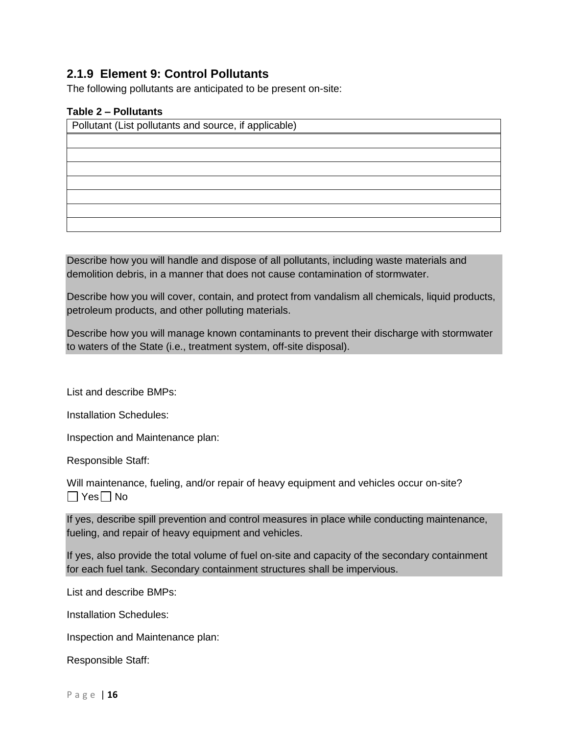# <span id="page-17-0"></span>**2.1.9 Element 9: Control Pollutants**

The following pollutants are anticipated to be present on-site:

#### <span id="page-17-1"></span>**Table 2 – Pollutants**

Pollutant (List pollutants and source, if applicable)

Describe how you will handle and dispose of all pollutants, including waste materials and demolition debris, in a manner that does not cause contamination of stormwater.

Describe how you will cover, contain, and protect from vandalism all chemicals, liquid products, petroleum products, and other polluting materials.

Describe how you will manage known contaminants to prevent their discharge with stormwater to waters of the State (i.e., treatment system, off-site disposal).

List and describe BMPs:

Installation Schedules:

Inspection and Maintenance plan:

Responsible Staff:

Will maintenance, fueling, and/or repair of heavy equipment and vehicles occur on-site?  $\Box$  Yes  $\Box$  No

If yes, describe spill prevention and control measures in place while conducting maintenance, fueling, and repair of heavy equipment and vehicles.

If yes, also provide the total volume of fuel on-site and capacity of the secondary containment for each fuel tank. Secondary containment structures shall be impervious.

List and describe BMPs:

Installation Schedules:

Inspection and Maintenance plan: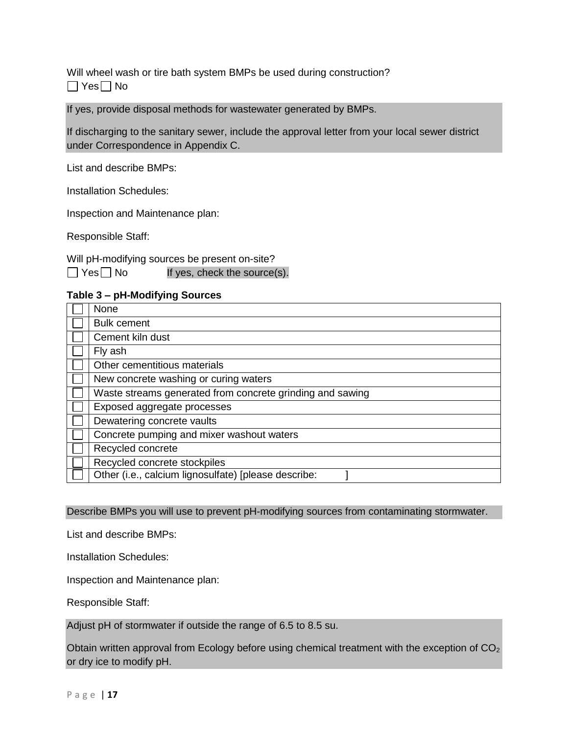Will wheel wash or tire bath system BMPs be used during construction?  $\Box$  Yes  $\Box$  No

If yes, provide disposal methods for wastewater generated by BMPs.

If discharging to the sanitary sewer, include the approval letter from your local sewer district under Correspondence in Appendix C.

List and describe BMPs:

Installation Schedules:

Inspection and Maintenance plan:

Responsible Staff:

Will pH-modifying sources be present on-site?  $\Box$  Yes  $\Box$  No If yes, check the source(s).

#### <span id="page-18-0"></span>**Table 3 – pH-Modifying Sources**

| None                                                      |
|-----------------------------------------------------------|
| <b>Bulk cement</b>                                        |
| Cement kiln dust                                          |
| Fly ash                                                   |
| Other cementitious materials                              |
| New concrete washing or curing waters                     |
| Waste streams generated from concrete grinding and sawing |
| Exposed aggregate processes                               |
| Dewatering concrete vaults                                |
| Concrete pumping and mixer washout waters                 |
| Recycled concrete                                         |
| Recycled concrete stockpiles                              |
| Other (i.e., calcium lignosulfate) [please describe:      |
|                                                           |

Describe BMPs you will use to prevent pH-modifying sources from contaminating stormwater.

List and describe BMPs:

Installation Schedules:

Inspection and Maintenance plan:

Responsible Staff:

Adjust pH of stormwater if outside the range of 6.5 to 8.5 su.

Obtain written approval from Ecology before using chemical treatment with the exception of CO<sub>2</sub> or dry ice to modify pH.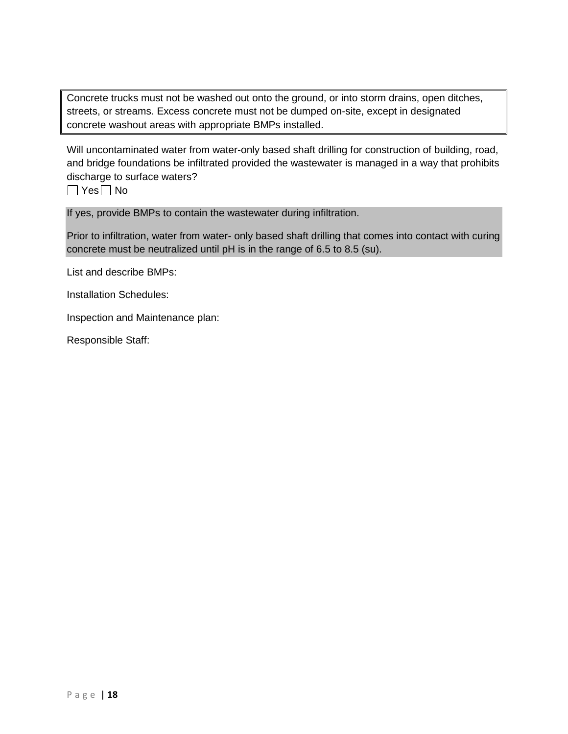Concrete trucks must not be washed out onto the ground, or into storm drains, open ditches, streets, or streams. Excess concrete must not be dumped on-site, except in designated concrete washout areas with appropriate BMPs installed.

Will uncontaminated water from water-only based shaft drilling for construction of building, road, and bridge foundations be infiltrated provided the wastewater is managed in a way that prohibits discharge to surface waters?

 $\Box$  Yes  $\Box$  No

If yes, provide BMPs to contain the wastewater during infiltration.

Prior to infiltration, water from water- only based shaft drilling that comes into contact with curing concrete must be neutralized until pH is in the range of 6.5 to 8.5 (su).

List and describe BMPs:

Installation Schedules:

Inspection and Maintenance plan: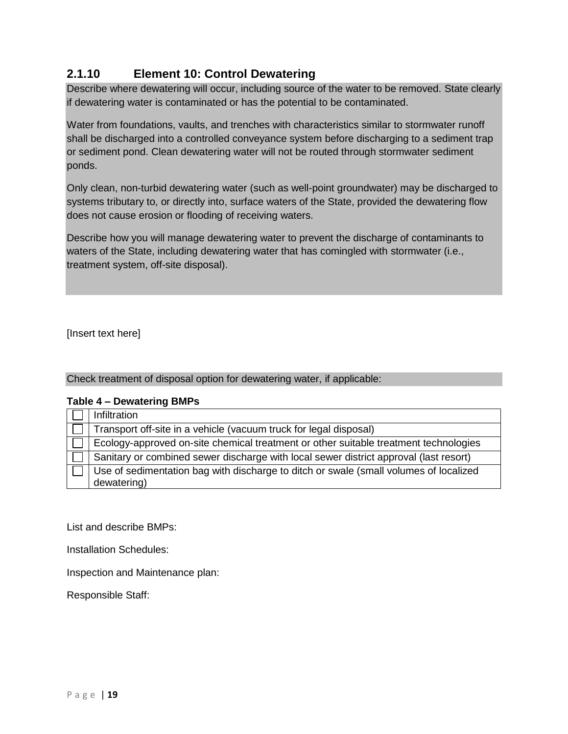# <span id="page-20-0"></span>**2.1.10 Element 10: Control Dewatering**

Describe where dewatering will occur, including source of the water to be removed. State clearly if dewatering water is contaminated or has the potential to be contaminated.

Water from foundations, vaults, and trenches with characteristics similar to stormwater runoff shall be discharged into a controlled conveyance system before discharging to a sediment trap or sediment pond. Clean dewatering water will not be routed through stormwater sediment ponds.

Only clean, non-turbid dewatering water (such as well-point groundwater) may be discharged to systems tributary to, or directly into, surface waters of the State, provided the dewatering flow does not cause erosion or flooding of receiving waters.

Describe how you will manage dewatering water to prevent the discharge of contaminants to waters of the State, including dewatering water that has comingled with stormwater (i.e., treatment system, off-site disposal).

[Insert text here]

#### Check treatment of disposal option for dewatering water, if applicable:

#### <span id="page-20-1"></span>**Table 4 – Dewatering BMPs**

| Infiltration                                                                                         |
|------------------------------------------------------------------------------------------------------|
| Transport off-site in a vehicle (vacuum truck for legal disposal)                                    |
| Ecology-approved on-site chemical treatment or other suitable treatment technologies                 |
| Sanitary or combined sewer discharge with local sewer district approval (last resort)                |
| Use of sedimentation bag with discharge to ditch or swale (small volumes of localized<br>dewatering) |

List and describe BMPs:

Installation Schedules:

Inspection and Maintenance plan: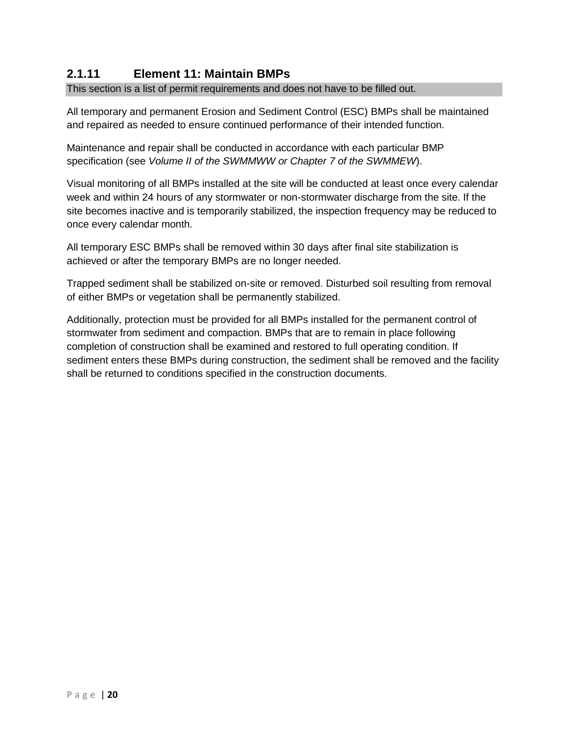# <span id="page-21-0"></span>**2.1.11 Element 11: Maintain BMPs**

This section is a list of permit requirements and does not have to be filled out.

All temporary and permanent Erosion and Sediment Control (ESC) BMPs shall be maintained and repaired as needed to ensure continued performance of their intended function.

Maintenance and repair shall be conducted in accordance with each particular BMP specification (see *Volume II of the SWMMWW or Chapter 7 of the SWMMEW*).

Visual monitoring of all BMPs installed at the site will be conducted at least once every calendar week and within 24 hours of any stormwater or non-stormwater discharge from the site. If the site becomes inactive and is temporarily stabilized, the inspection frequency may be reduced to once every calendar month.

All temporary ESC BMPs shall be removed within 30 days after final site stabilization is achieved or after the temporary BMPs are no longer needed.

Trapped sediment shall be stabilized on-site or removed. Disturbed soil resulting from removal of either BMPs or vegetation shall be permanently stabilized.

Additionally, protection must be provided for all BMPs installed for the permanent control of stormwater from sediment and compaction. BMPs that are to remain in place following completion of construction shall be examined and restored to full operating condition. If sediment enters these BMPs during construction, the sediment shall be removed and the facility shall be returned to conditions specified in the construction documents.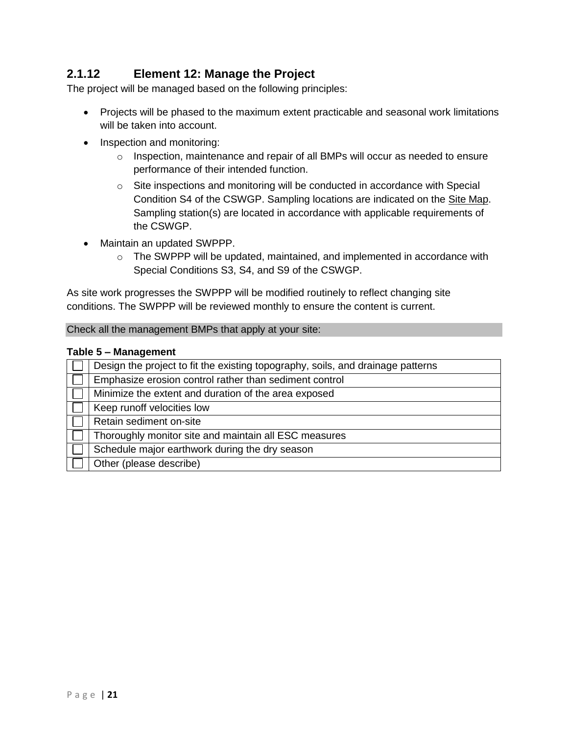# <span id="page-22-0"></span>**2.1.12 Element 12: Manage the Project**

The project will be managed based on the following principles:

- Projects will be phased to the maximum extent practicable and seasonal work limitations will be taken into account.
- Inspection and monitoring:
	- $\circ$  Inspection, maintenance and repair of all BMPs will occur as needed to ensure performance of their intended function.
	- $\circ$  Site inspections and monitoring will be conducted in accordance with Special Condition S4 of the CSWGP. Sampling locations are indicated on the Site Map. Sampling station(s) are located in accordance with applicable requirements of the CSWGP.
- Maintain an updated SWPPP.
	- $\circ$  The SWPPP will be updated, maintained, and implemented in accordance with Special Conditions S3, S4, and S9 of the CSWGP.

As site work progresses the SWPPP will be modified routinely to reflect changing site conditions. The SWPPP will be reviewed monthly to ensure the content is current.

Check all the management BMPs that apply at your site:

#### <span id="page-22-1"></span>**Table 5 – Management**

| Design the project to fit the existing topography, soils, and drainage patterns |  |
|---------------------------------------------------------------------------------|--|
| Emphasize erosion control rather than sediment control                          |  |
| Minimize the extent and duration of the area exposed                            |  |
| Keep runoff velocities low                                                      |  |
| Retain sediment on-site                                                         |  |
| Thoroughly monitor site and maintain all ESC measures                           |  |
| Schedule major earthwork during the dry season                                  |  |
| Other (please describe)                                                         |  |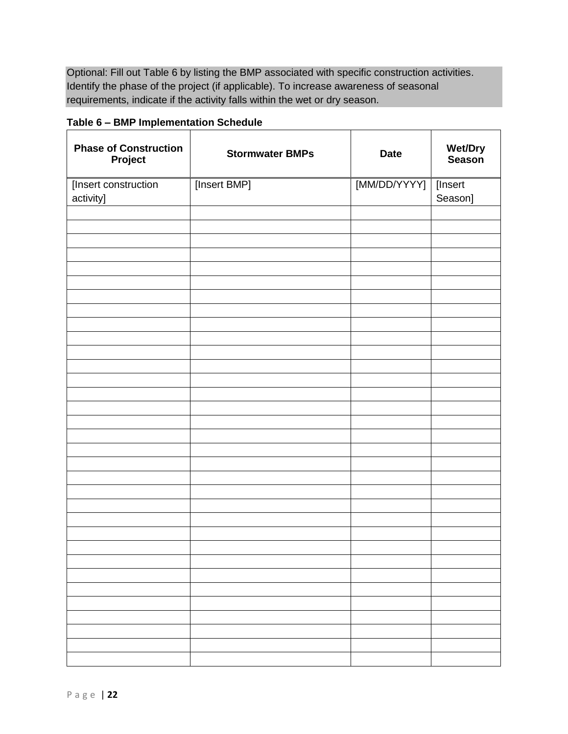Optional: Fill out Table 6 by listing the BMP associated with specific construction activities. Identify the phase of the project (if applicable). To increase awareness of seasonal requirements, indicate if the activity falls within the wet or dry season.

<span id="page-23-0"></span>**Table 6 – BMP Implementation Schedule**

| <b>Phase of Construction</b><br>Project | <b>Stormwater BMPs</b> | <b>Date</b>  | Wet/Dry<br>Season  |
|-----------------------------------------|------------------------|--------------|--------------------|
| [Insert construction<br>activity]       | [Insert BMP]           | [MM/DD/YYYY] | [Insert<br>Season] |
|                                         |                        |              |                    |
|                                         |                        |              |                    |
|                                         |                        |              |                    |
|                                         |                        |              |                    |
|                                         |                        |              |                    |
|                                         |                        |              |                    |
|                                         |                        |              |                    |
|                                         |                        |              |                    |
|                                         |                        |              |                    |
|                                         |                        |              |                    |
|                                         |                        |              |                    |
|                                         |                        |              |                    |
|                                         |                        |              |                    |
|                                         |                        |              |                    |
|                                         |                        |              |                    |
|                                         |                        |              |                    |
|                                         |                        |              |                    |
|                                         |                        |              |                    |
|                                         |                        |              |                    |
|                                         |                        |              |                    |
|                                         |                        |              |                    |
|                                         |                        |              |                    |
|                                         |                        |              |                    |
|                                         |                        |              |                    |
|                                         |                        |              |                    |
|                                         |                        |              |                    |
|                                         |                        |              |                    |
|                                         |                        |              |                    |
|                                         |                        |              |                    |
|                                         |                        |              |                    |
|                                         |                        |              |                    |
|                                         |                        |              |                    |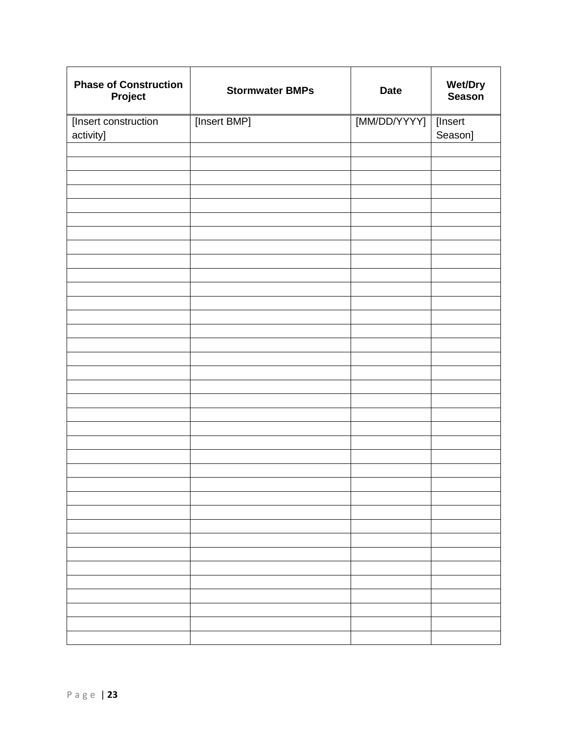| <b>Phase of Construction</b><br>Project | <b>Stormwater BMPs</b> | <b>Date</b>            | <b>Wet/Dry</b><br>Season |
|-----------------------------------------|------------------------|------------------------|--------------------------|
| [Insert construction<br>activity]       | [Insert BMP]           | [MM/DD/YYYY]   [Insert | Season]                  |
|                                         |                        |                        |                          |
|                                         |                        |                        |                          |
|                                         |                        |                        |                          |
|                                         |                        |                        |                          |
|                                         |                        |                        |                          |
|                                         |                        |                        |                          |
|                                         |                        |                        |                          |
|                                         |                        |                        |                          |
|                                         |                        |                        |                          |
|                                         |                        |                        |                          |
|                                         |                        |                        |                          |
|                                         |                        |                        |                          |
|                                         |                        |                        |                          |
|                                         |                        |                        |                          |
|                                         |                        |                        |                          |
|                                         |                        |                        |                          |
|                                         |                        |                        |                          |
|                                         |                        |                        |                          |
|                                         |                        |                        |                          |
|                                         |                        |                        |                          |
|                                         |                        |                        |                          |
|                                         |                        |                        |                          |
|                                         |                        |                        |                          |
|                                         |                        |                        |                          |
|                                         |                        |                        |                          |
|                                         |                        |                        |                          |
|                                         |                        |                        |                          |
|                                         |                        |                        |                          |
|                                         |                        |                        |                          |
|                                         |                        |                        |                          |
|                                         |                        |                        |                          |
|                                         |                        |                        |                          |
|                                         |                        |                        |                          |
|                                         |                        |                        |                          |
|                                         |                        |                        |                          |
|                                         |                        |                        |                          |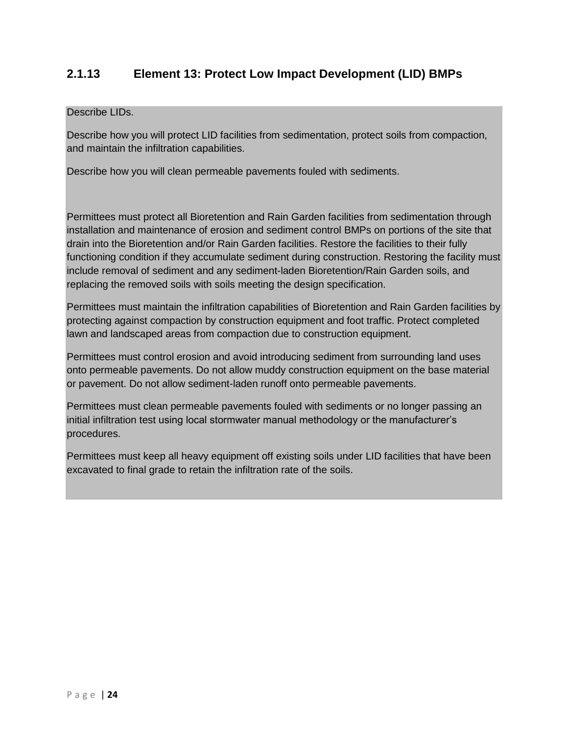# <span id="page-25-0"></span>**2.1.13 Element 13: Protect Low Impact Development (LID) BMPs**

#### Describe LIDs.

Describe how you will protect LID facilities from sedimentation, protect soils from compaction, and maintain the infiltration capabilities.

Describe how you will clean permeable pavements fouled with sediments.

Permittees must protect all Bioretention and Rain Garden facilities from sedimentation through installation and maintenance of erosion and sediment control BMPs on portions of the site that drain into the Bioretention and/or Rain Garden facilities. Restore the facilities to their fully functioning condition if they accumulate sediment during construction. Restoring the facility must include removal of sediment and any sediment-laden Bioretention/Rain Garden soils, and replacing the removed soils with soils meeting the design specification.

Permittees must maintain the infiltration capabilities of Bioretention and Rain Garden facilities by protecting against compaction by construction equipment and foot traffic. Protect completed lawn and landscaped areas from compaction due to construction equipment.

Permittees must control erosion and avoid introducing sediment from surrounding land uses onto permeable pavements. Do not allow muddy construction equipment on the base material or pavement. Do not allow sediment-laden runoff onto permeable pavements.

Permittees must clean permeable pavements fouled with sediments or no longer passing an initial infiltration test using local stormwater manual methodology or the manufacturer's procedures.

Permittees must keep all heavy equipment off existing soils under LID facilities that have been excavated to final grade to retain the infiltration rate of the soils.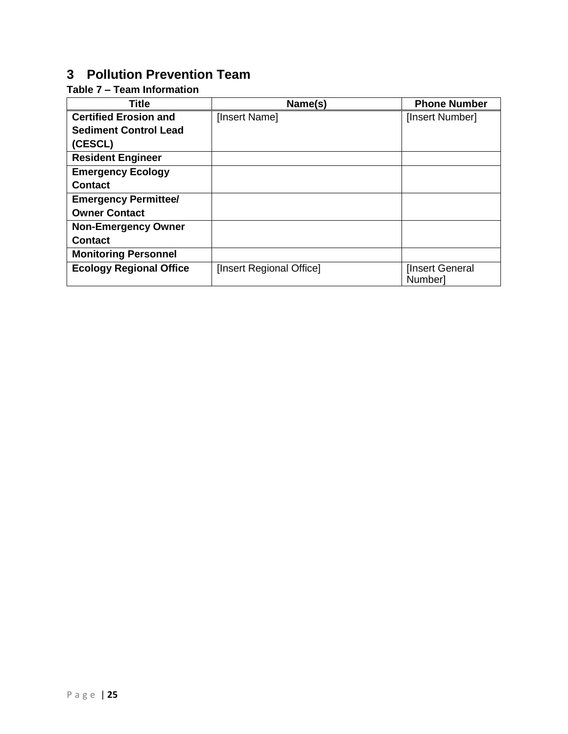# <span id="page-26-0"></span>**3 Pollution Prevention Team**

# <span id="page-26-1"></span>**Table 7 – Team Information**

| <b>Title</b>                   | Name(s)                  | <b>Phone Number</b>                |
|--------------------------------|--------------------------|------------------------------------|
| <b>Certified Erosion and</b>   | [Insert Name]            | [Insert Number]                    |
| <b>Sediment Control Lead</b>   |                          |                                    |
| (CESCL)                        |                          |                                    |
| <b>Resident Engineer</b>       |                          |                                    |
| <b>Emergency Ecology</b>       |                          |                                    |
| <b>Contact</b>                 |                          |                                    |
| <b>Emergency Permittee/</b>    |                          |                                    |
| <b>Owner Contact</b>           |                          |                                    |
| <b>Non-Emergency Owner</b>     |                          |                                    |
| <b>Contact</b>                 |                          |                                    |
| <b>Monitoring Personnel</b>    |                          |                                    |
| <b>Ecology Regional Office</b> | [Insert Regional Office] | [Insert General]<br><b>Numberl</b> |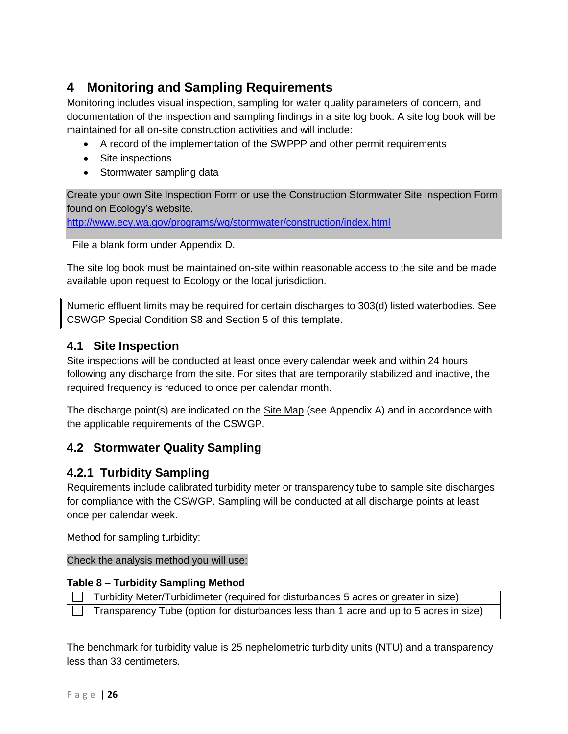# <span id="page-27-0"></span>**4 Monitoring and Sampling Requirements**

Monitoring includes visual inspection, sampling for water quality parameters of concern, and documentation of the inspection and sampling findings in a site log book. A site log book will be maintained for all on-site construction activities and will include:

- A record of the implementation of the SWPPP and other permit requirements
- Site inspections
- Stormwater sampling data

Create your own Site Inspection Form or use the Construction Stormwater Site Inspection Form found on Ecology's website.

<http://www.ecy.wa.gov/programs/wq/stormwater/construction/index.html>

File a blank form under Appendix D.

The site log book must be maintained on-site within reasonable access to the site and be made available upon request to Ecology or the local jurisdiction.

Numeric effluent limits may be required for certain discharges to 303(d) listed waterbodies. See CSWGP Special Condition S8 and Section 5 of this template.

# <span id="page-27-1"></span>**4.1 Site Inspection**

Site inspections will be conducted at least once every calendar week and within 24 hours following any discharge from the site. For sites that are temporarily stabilized and inactive, the required frequency is reduced to once per calendar month.

The discharge point(s) are indicated on the Site Map (see Appendix A) and in accordance with the applicable requirements of the CSWGP.

# <span id="page-27-2"></span>**4.2 Stormwater Quality Sampling**

# <span id="page-27-3"></span>**4.2.1 Turbidity Sampling**

Requirements include calibrated turbidity meter or transparency tube to sample site discharges for compliance with the CSWGP. Sampling will be conducted at all discharge points at least once per calendar week.

Method for sampling turbidity:

Check the analysis method you will use:

#### <span id="page-27-4"></span>**Table 8 – Turbidity Sampling Method**

| $\Box$ Turbidity Meter/Turbidimeter (required for disturbances 5 acres or greater in size)            |
|-------------------------------------------------------------------------------------------------------|
| $\boxed{\Box}$ Transparency Tube (option for disturbances less than 1 acre and up to 5 acres in size) |

The benchmark for turbidity value is 25 nephelometric turbidity units (NTU) and a transparency less than 33 centimeters.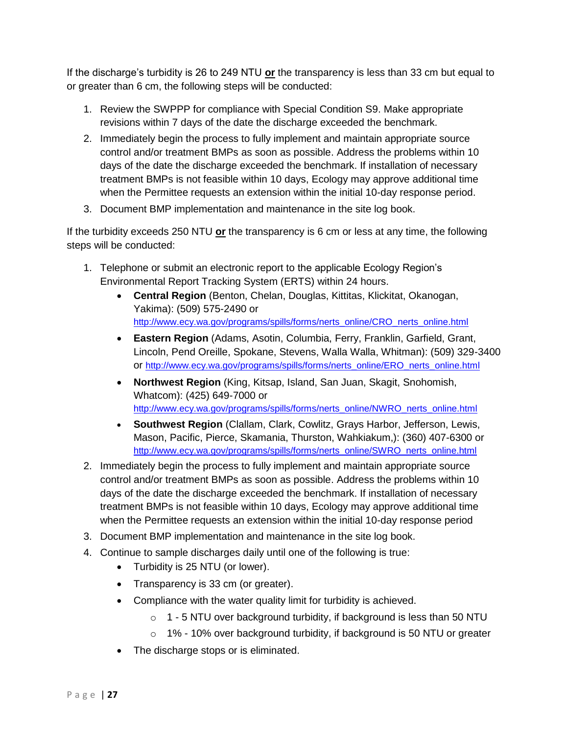If the discharge's turbidity is 26 to 249 NTU **or** the transparency is less than 33 cm but equal to or greater than 6 cm, the following steps will be conducted:

- 1. Review the SWPPP for compliance with Special Condition S9. Make appropriate revisions within 7 days of the date the discharge exceeded the benchmark.
- 2. Immediately begin the process to fully implement and maintain appropriate source control and/or treatment BMPs as soon as possible. Address the problems within 10 days of the date the discharge exceeded the benchmark. If installation of necessary treatment BMPs is not feasible within 10 days, Ecology may approve additional time when the Permittee requests an extension within the initial 10-day response period.
- 3. Document BMP implementation and maintenance in the site log book.

If the turbidity exceeds 250 NTU **or** the transparency is 6 cm or less at any time, the following steps will be conducted:

- 1. Telephone or submit an electronic report to the applicable Ecology Region's Environmental Report Tracking System (ERTS) within 24 hours.
	- **Central Region** (Benton, Chelan, Douglas, Kittitas, Klickitat, Okanogan, Yakima): (509) 575-2490 or [http://www.ecy.wa.gov/programs/spills/forms/nerts\\_online/CRO\\_nerts\\_online.html](http://www.ecy.wa.gov/programs/spills/forms/nerts_online/CRO_nerts_online.html)
	- **Eastern Region** (Adams, Asotin, Columbia, Ferry, Franklin, Garfield, Grant, Lincoln, Pend Oreille, Spokane, Stevens, Walla Walla, Whitman): (509) 329-3400 or [http://www.ecy.wa.gov/programs/spills/forms/nerts\\_online/ERO\\_nerts\\_online.html](http://www.ecy.wa.gov/programs/spills/forms/nerts_online/ERO_nerts_online.html)
	- **Northwest Region** (King, Kitsap, Island, San Juan, Skagit, Snohomish, Whatcom): (425) 649-7000 or [http://www.ecy.wa.gov/programs/spills/forms/nerts\\_online/NWRO\\_nerts\\_online.html](http://www.ecy.wa.gov/programs/spills/forms/nerts_online/NWRO_nerts_online.html)
	- **Southwest Region** (Clallam, Clark, Cowlitz, Grays Harbor, Jefferson, Lewis, Mason, Pacific, Pierce, Skamania, Thurston, Wahkiakum,): (360) 407-6300 or [http://www.ecy.wa.gov/programs/spills/forms/nerts\\_online/SWRO\\_nerts\\_online.html](http://www.ecy.wa.gov/programs/spills/forms/nerts_online/SWRO_nerts_online.html)
- 2. Immediately begin the process to fully implement and maintain appropriate source control and/or treatment BMPs as soon as possible. Address the problems within 10 days of the date the discharge exceeded the benchmark. If installation of necessary treatment BMPs is not feasible within 10 days, Ecology may approve additional time when the Permittee requests an extension within the initial 10-day response period
- 3. Document BMP implementation and maintenance in the site log book.
- 4. Continue to sample discharges daily until one of the following is true:
	- Turbidity is 25 NTU (or lower).
	- Transparency is 33 cm (or greater).
	- Compliance with the water quality limit for turbidity is achieved.
		- $\circ$  1 5 NTU over background turbidity, if background is less than 50 NTU
		- o 1% 10% over background turbidity, if background is 50 NTU or greater
	- The discharge stops or is eliminated.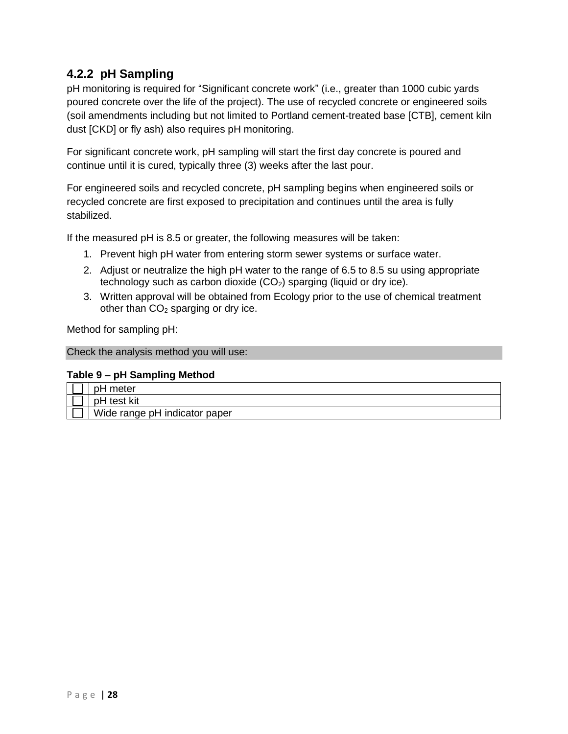# <span id="page-29-0"></span>**4.2.2 pH Sampling**

pH monitoring is required for "Significant concrete work" (i.e., greater than 1000 cubic yards poured concrete over the life of the project). The use of recycled concrete or engineered soils (soil amendments including but not limited to Portland cement-treated base [CTB], cement kiln dust [CKD] or fly ash) also requires pH monitoring.

For significant concrete work, pH sampling will start the first day concrete is poured and continue until it is cured, typically three (3) weeks after the last pour.

For engineered soils and recycled concrete, pH sampling begins when engineered soils or recycled concrete are first exposed to precipitation and continues until the area is fully stabilized.

If the measured pH is 8.5 or greater, the following measures will be taken:

- 1. Prevent high pH water from entering storm sewer systems or surface water.
- 2. Adjust or neutralize the high pH water to the range of 6.5 to 8.5 su using appropriate technology such as carbon dioxide  $(CO<sub>2</sub>)$  sparging (liquid or dry ice).
- 3. Written approval will be obtained from Ecology prior to the use of chemical treatment other than  $CO<sub>2</sub>$  sparging or dry ice.

Method for sampling pH:

Check the analysis method you will use:

#### <span id="page-29-1"></span>**Table 9 – pH Sampling Method**

| meter<br>n⊟                   |
|-------------------------------|
| test kit<br>nН                |
| Wide range pH indicator paper |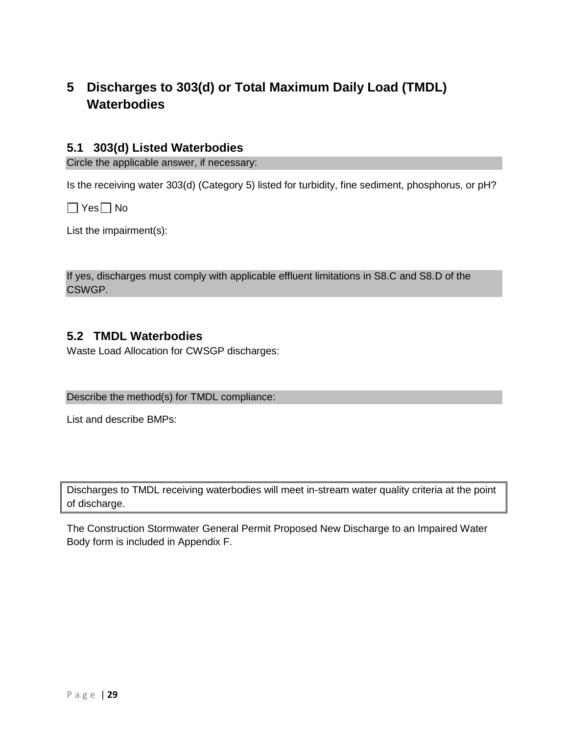# <span id="page-30-0"></span>**5 Discharges to 303(d) or Total Maximum Daily Load (TMDL) Waterbodies**

### <span id="page-30-1"></span>**5.1 303(d) Listed Waterbodies**

Circle the applicable answer, if necessary:

Is the receiving water 303(d) (Category 5) listed for turbidity, fine sediment, phosphorus, or pH?

 $\Box$  Yes  $\Box$  No

List the impairment(s):

If yes, discharges must comply with applicable effluent limitations in S8.C and S8.D of the CSWGP.

#### <span id="page-30-2"></span>**5.2 TMDL Waterbodies**

Waste Load Allocation for CWSGP discharges:

#### Describe the method(s) for TMDL compliance:

List and describe BMPs:

Discharges to TMDL receiving waterbodies will meet in-stream water quality criteria at the point of discharge.

The Construction Stormwater General Permit Proposed New Discharge to an Impaired Water Body form is included in Appendix F.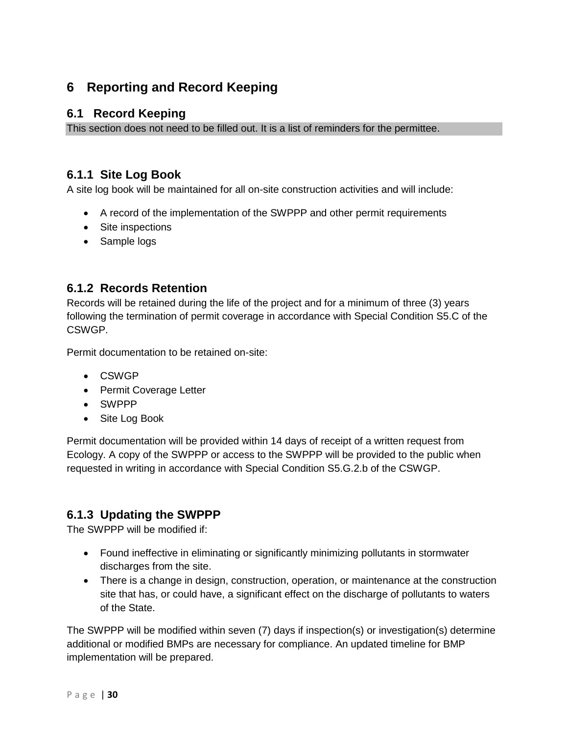# <span id="page-31-0"></span>**6 Reporting and Record Keeping**

# <span id="page-31-1"></span>**6.1 Record Keeping**

This section does not need to be filled out. It is a list of reminders for the permittee.

# <span id="page-31-2"></span>**6.1.1 Site Log Book**

A site log book will be maintained for all on-site construction activities and will include:

- A record of the implementation of the SWPPP and other permit requirements
- Site inspections
- Sample logs

# <span id="page-31-3"></span>**6.1.2 Records Retention**

Records will be retained during the life of the project and for a minimum of three (3) years following the termination of permit coverage in accordance with Special Condition S5.C of the CSWGP.

Permit documentation to be retained on-site:

- CSWGP
- Permit Coverage Letter
- SWPPP
- Site Log Book

Permit documentation will be provided within 14 days of receipt of a written request from Ecology. A copy of the SWPPP or access to the SWPPP will be provided to the public when requested in writing in accordance with Special Condition S5.G.2.b of the CSWGP.

# <span id="page-31-4"></span>**6.1.3 Updating the SWPPP**

The SWPPP will be modified if:

- Found ineffective in eliminating or significantly minimizing pollutants in stormwater discharges from the site.
- There is a change in design, construction, operation, or maintenance at the construction site that has, or could have, a significant effect on the discharge of pollutants to waters of the State.

The SWPPP will be modified within seven (7) days if inspection(s) or investigation(s) determine additional or modified BMPs are necessary for compliance. An updated timeline for BMP implementation will be prepared.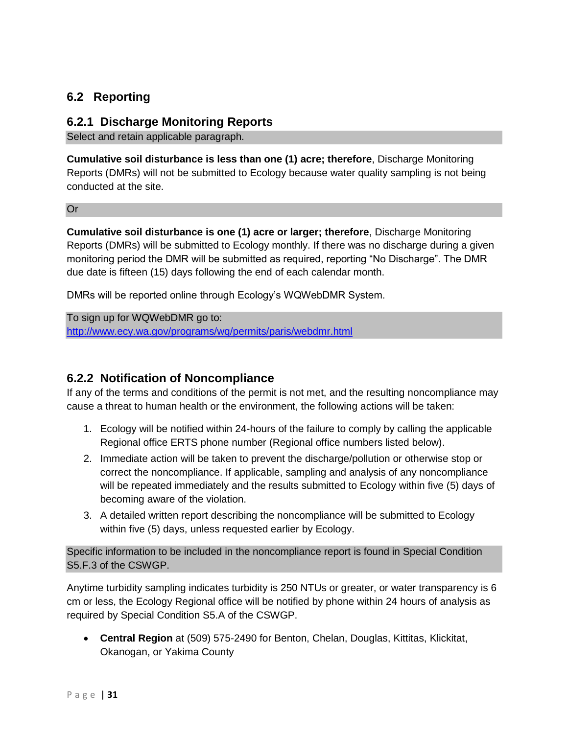# <span id="page-32-0"></span>**6.2 Reporting**

#### <span id="page-32-1"></span>**6.2.1 Discharge Monitoring Reports**

Select and retain applicable paragraph.

**Cumulative soil disturbance is less than one (1) acre; therefore**, Discharge Monitoring Reports (DMRs) will not be submitted to Ecology because water quality sampling is not being conducted at the site.

Or

**Cumulative soil disturbance is one (1) acre or larger; therefore**, Discharge Monitoring Reports (DMRs) will be submitted to Ecology monthly. If there was no discharge during a given monitoring period the DMR will be submitted as required, reporting "No Discharge". The DMR due date is fifteen (15) days following the end of each calendar month.

DMRs will be reported online through Ecology's WQWebDMR System.

To sign up for WQWebDMR go to: <http://www.ecy.wa.gov/programs/wq/permits/paris/webdmr.html>

## <span id="page-32-2"></span>**6.2.2 Notification of Noncompliance**

If any of the terms and conditions of the permit is not met, and the resulting noncompliance may cause a threat to human health or the environment, the following actions will be taken:

- 1. Ecology will be notified within 24-hours of the failure to comply by calling the applicable Regional office ERTS phone number (Regional office numbers listed below).
- 2. Immediate action will be taken to prevent the discharge/pollution or otherwise stop or correct the noncompliance. If applicable, sampling and analysis of any noncompliance will be repeated immediately and the results submitted to Ecology within five (5) days of becoming aware of the violation.
- 3. A detailed written report describing the noncompliance will be submitted to Ecology within five (5) days, unless requested earlier by Ecology.

Specific information to be included in the noncompliance report is found in Special Condition S5.F.3 of the CSWGP.

Anytime turbidity sampling indicates turbidity is 250 NTUs or greater, or water transparency is 6 cm or less, the Ecology Regional office will be notified by phone within 24 hours of analysis as required by Special Condition S5.A of the CSWGP.

• **Central Region** at (509) 575-2490 for Benton, Chelan, Douglas, Kittitas, Klickitat, Okanogan, or Yakima County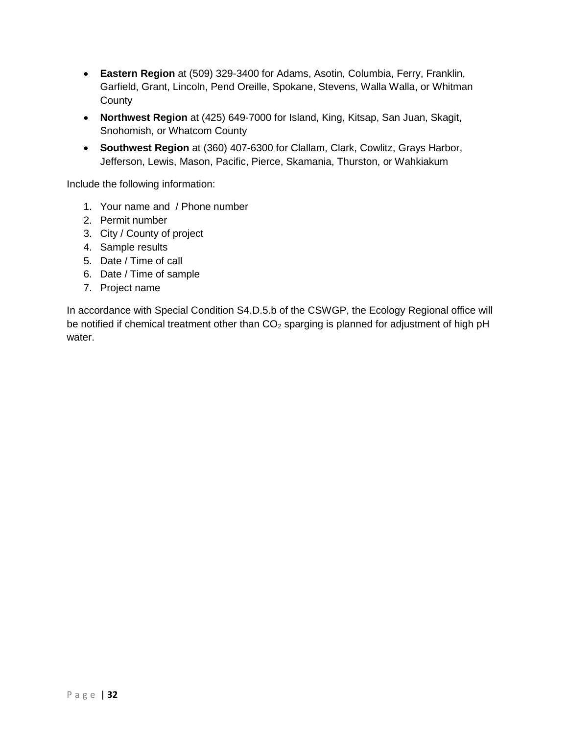- **Eastern Region** at (509) 329-3400 for Adams, Asotin, Columbia, Ferry, Franklin, Garfield, Grant, Lincoln, Pend Oreille, Spokane, Stevens, Walla Walla, or Whitman **County**
- **Northwest Region** at (425) 649-7000 for Island, King, Kitsap, San Juan, Skagit, Snohomish, or Whatcom County
- **Southwest Region** at (360) 407-6300 for Clallam, Clark, Cowlitz, Grays Harbor, Jefferson, Lewis, Mason, Pacific, Pierce, Skamania, Thurston, or Wahkiakum

Include the following information:

- 1. Your name and / Phone number
- 2. Permit number
- 3. City / County of project
- 4. Sample results
- 5. Date / Time of call
- 6. Date / Time of sample
- 7. Project name

In accordance with Special Condition S4.D.5.b of the CSWGP, the Ecology Regional office will be notified if chemical treatment other than  $CO<sub>2</sub>$  sparging is planned for adjustment of high pH water.